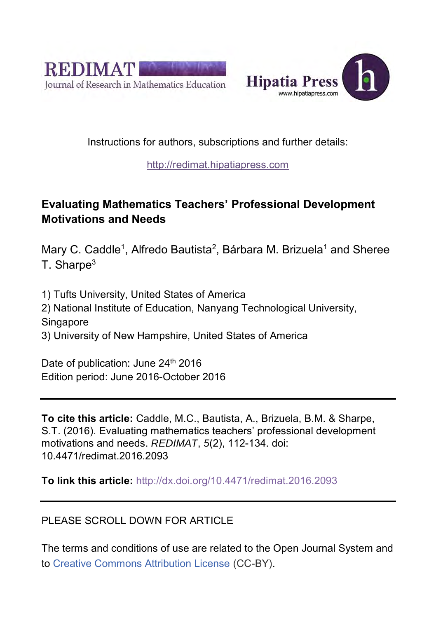



## Instructions for authors, subscriptions and further details:

## [http://redimat.hipatiapress.com](http://redimat.hipatiapress.com/)

## **Evaluating Mathematics Teachers' Professional Development Motivations and Needs**

Mary C. Caddle<sup>1</sup>, Alfredo Bautista<sup>2</sup>, Bárbara M. Brizuela<sup>1</sup> and Sheree  $T.$  Sharpe<sup>3</sup>

1) Tufts University, United States of America 2) National Institute of Education, Nanyang Technological University, **Singapore** 3) University of New Hampshire, United States of America

Date of publication: June 24<sup>th</sup> 2016 Edition period: June 2016-October 2016

**To cite this article:** Caddle, M.C., Bautista, A., Brizuela, B.M. & Sharpe, S.T. (2016). Evaluating mathematics teachers' professional development motivations and needs. *REDIMAT*, *5*(2), 112-134. doi: [10.4471/redimat.2016.2093](http://dx.doi.org/10.4471/redimat.2016.2093) 

**To link this article:** <http://dx.doi.org/10.4471/redimat.2016.2093>

## PLEASE SCROLL DOWN FOR ARTICLE

The terms and conditions of use are related to the Open Journal System and to [Creative Commons Attribution License](http://creativecommons.org/licenses/by/4.0/) (CC-BY).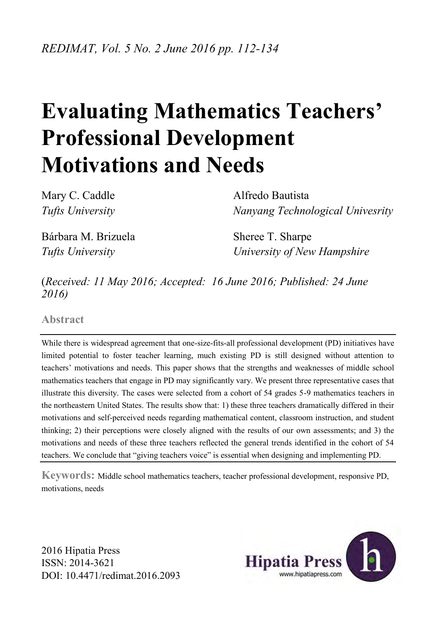# **Evaluating Mathematics Teachers' Professional Development Motivations and Needs**

Mary C. Caddle **Alfredo Bautista** 

*Tufts University Nanyang Technological Univesrity*

Bárbara M. Brizuela Sheree T. Sharpe

*Tufts University University of New Hampshire*

(*Received: 11 May 2016; Accepted: 16 June 2016; Published: 24 June 2016)* 

**Abstract** 

While there is widespread agreement that one-size-fits-all professional development (PD) initiatives have limited potential to foster teacher learning, much existing PD is still designed without attention to teachers' motivations and needs. This paper shows that the strengths and weaknesses of middle school mathematics teachers that engage in PD may significantly vary. We present three representative cases that illustrate this diversity. The cases were selected from a cohort of 54 grades 5-9 mathematics teachers in the northeastern United States. The results show that: 1) these three teachers dramatically differed in their motivations and self-perceived needs regarding mathematical content, classroom instruction, and student thinking; 2) their perceptions were closely aligned with the results of our own assessments; and 3) the motivations and needs of these three teachers reflected the general trends identified in the cohort of 54 teachers. We conclude that "giving teachers voice" is essential when designing and implementing PD.

**Keywords:** Middle school mathematics teachers, teacher professional development, responsive PD, motivations, needs

2016 Hipatia Press ISSN: 2014-3621 DOI: [10.4471/redimat.2016.2093](http://dx.doi.org/10.4471/redimat.2016.2093) 

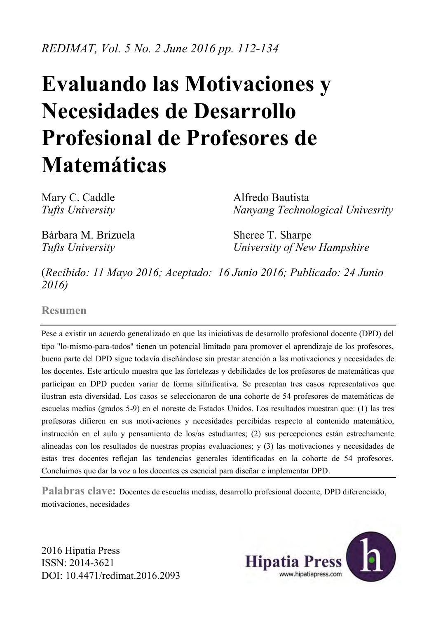*REDIMAT, Vol. 5 No. 2 June 2016 pp. 112-134* 

# **Evaluando las Motivaciones y Necesidades de Desarrollo Profesional de Profesores de Matemáticas**

Mary C. Caddle **Alfredo Bautista** *Tufts University Nanyang Technological Univesrity*

Bárbara M. Brizuela Sheree T. Sharpe

*Tufts University University of New Hampshire*

(*Recibido: 11 Mayo 2016; Aceptado: 16 Junio 2016; Publicado: 24 Junio 2016)* 

**Resumen** 

Pese a existir un acuerdo generalizado en que las iniciativas de desarrollo profesional docente (DPD) del tipo "lo-mismo-para-todos" tienen un potencial limitado para promover el aprendizaje de los profesores, buena parte del DPD sigue todavía diseñándose sin prestar atención a las motivaciones y necesidades de los docentes. Este artículo muestra que las fortelezas y debilidades de los profesores de matemáticas que participan en DPD pueden variar de forma sifnificativa. Se presentan tres casos representativos que ilustran esta diversidad. Los casos se seleccionaron de una cohorte de 54 profesores de matemáticas de escuelas medias (grados 5-9) en el noreste de Estados Unidos. Los resultados muestran que: (1) las tres profesoras difieren en sus motivaciones y necesidades percibidas respecto al contenido matemático, instrucción en el aula y pensamiento de los/as estudiantes; (2) sus percepciones están estrechamente alineadas con los resultados de nuestras propias evaluaciones; y (3) las motivaciones y necesidades de estas tres docentes reflejan las tendencias generales identificadas en la cohorte de 54 profesores. Concluimos que dar la voz a los docentes es esencial para diseñar e implementar DPD.

**Palabras clave:** Docentes de escuelas medias, desarrollo profesional docente, DPD diferenciado, motivaciones, necesidades

2016 Hipatia Press ISSN: 2014-3621 DOI: [10.4471/redimat.2016.2093](http://dx.doi.org/10.4471/redimat.2016.2093) 

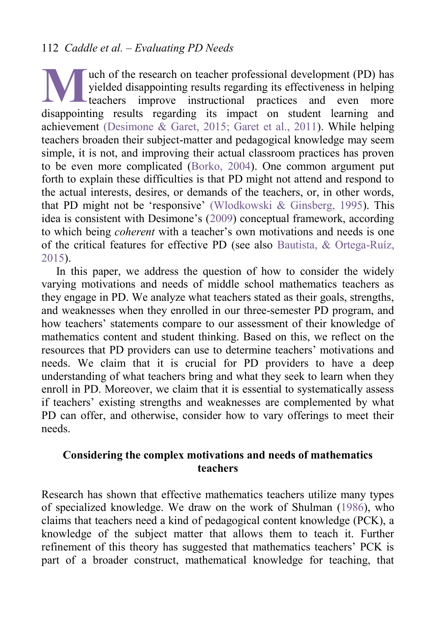## 112 *Caddle et al. – Evaluating PD Needs*

uch of the research on teacher professional development (PD) has yielded disappointing results regarding its effectiveness in helping **L**teachers improve instructional practices and even more where the disappointing results regarding its effectiveness in helping<br>teachers improve instructional practices and even more<br>disappointing results regarding its impact on student learning and achievement [\(Desimone & Garet, 2015;](#page-24-0) [Garet et al., 2011\)](#page-24-1). While helping teachers broaden their subject-matter and pedagogical knowledge may seem simple, it is not, and improving their actual classroom practices has proven to be even more complicated [\(Borko, 2004\)](#page-23-0). One common argument put forth to explain these difficulties is that PD might not attend and respond to the actual interests, desires, or demands of the teachers, or, in other words, that PD might not be 'responsive' [\(Wlodkowski & Ginsberg, 1995\)](#page-25-0). This idea is consistent with Desimone's [\(2009\)](#page-24-0) conceptual framework, according to which being *coherent* with a teacher's own motivations and needs is one of the critical features for effective PD (see also Bautista, & Ortega-Ruíz, 2015).

In this paper, we address the question of how to consider the widely varying motivations and needs of middle school mathematics teachers as they engage in PD. We analyze what teachers stated as their goals, strengths, and weaknesses when they enrolled in our three-semester PD program, and how teachers' statements compare to our assessment of their knowledge of mathematics content and student thinking. Based on this, we reflect on the resources that PD providers can use to determine teachers' motivations and needs. We claim that it is crucial for PD providers to have a deep understanding of what teachers bring and what they seek to learn when they enroll in PD. Moreover, we claim that it is essential to systematically assess if teachers' existing strengths and weaknesses are complemented by what PD can offer, and otherwise, consider how to vary offerings to meet their needs.

#### **Considering the complex motivations and needs of mathematics teachers**

Research has shown that effective mathematics teachers utilize many types of specialized knowledge. We draw on the work of Shulman [\(1986\)](#page-25-1), who claims that teachers need a kind of pedagogical content knowledge (PCK), a knowledge of the subject matter that allows them to teach it. Further refinement of this theory has suggested that mathematics teachers' PCK is part of a broader construct, mathematical knowledge for teaching, that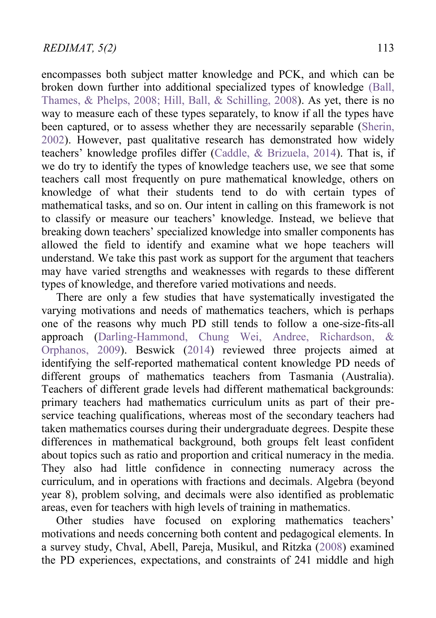encompasses both subject matter knowledge and PCK, and which can be broken down further into additional specialized types of knowledge [\(Ball,](#page-23-1)  [Thames, & Phelps, 2008;](#page-23-1) [Hill, Ball, & Schilling, 2008\)](#page-24-2). As yet, there is no way to measure each of these types separately, to know if all the types have been captured, or to assess whether they are necessarily separable (Sherin, [2002\)](#page-25-2). However, past qualitative research has demonstrated how widely teachers' knowledge profiles differ (Caddle, & Brizuela, 2014). That is, if we do try to identify the types of knowledge teachers use, we see that some teachers call most frequently on pure mathematical knowledge, others on knowledge of what their students tend to do with certain types of mathematical tasks, and so on. Our intent in calling on this framework is not to classify or measure our teachers' knowledge. Instead, we believe that breaking down teachers' specialized knowledge into smaller components has allowed the field to identify and examine what we hope teachers will understand. We take this past work as support for the argument that teachers may have varied strengths and weaknesses with regards to these different types of knowledge, and therefore varied motivations and needs.

There are only a few studies that have systematically investigated the varying motivations and needs of mathematics teachers, which is perhaps one of the reasons why much PD still tends to follow a one-size-fits-all approach [\(Darling-Hammond, Chung Wei, Andree, Richardson, &](#page-24-3)  [Orphanos, 2009\)](#page-24-3). Beswick [\(2014\)](#page-23-2) reviewed three projects aimed at identifying the self-reported mathematical content knowledge PD needs of different groups of mathematics teachers from Tasmania (Australia). Teachers of different grade levels had different mathematical backgrounds: primary teachers had mathematics curriculum units as part of their preservice teaching qualifications, whereas most of the secondary teachers had taken mathematics courses during their undergraduate degrees. Despite these differences in mathematical background, both groups felt least confident about topics such as ratio and proportion and critical numeracy in the media. They also had little confidence in connecting numeracy across the curriculum, and in operations with fractions and decimals. Algebra (beyond year 8), problem solving, and decimals were also identified as problematic areas, even for teachers with high levels of training in mathematics.

Other studies have focused on exploring mathematics teachers' motivations and needs concerning both content and pedagogical elements. In a survey study, Chval, Abell, Pareja, Musikul, and Ritzka [\(2008\)](#page-23-3) examined the PD experiences, expectations, and constraints of 241 middle and high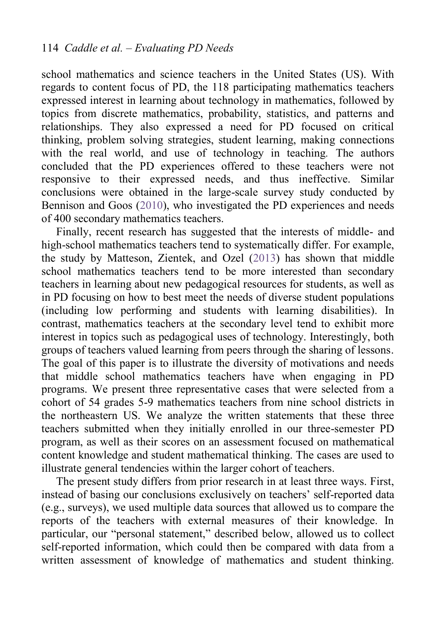school mathematics and science teachers in the United States (US). With regards to content focus of PD, the 118 participating mathematics teachers expressed interest in learning about technology in mathematics, followed by topics from discrete mathematics, probability, statistics, and patterns and relationships. They also expressed a need for PD focused on critical thinking, problem solving strategies, student learning, making connections with the real world, and use of technology in teaching*.* The authors concluded that the PD experiences offered to these teachers were not responsive to their expressed needs, and thus ineffective. Similar conclusions were obtained in the large-scale survey study conducted by Bennison and Goos [\(2010\)](#page-23-4), who investigated the PD experiences and needs of 400 secondary mathematics teachers.

Finally, recent research has suggested that the interests of middle- and high-school mathematics teachers tend to systematically differ. For example, the study by Matteson, Zientek, and Ozel [\(2013\)](#page-24-4) has shown that middle school mathematics teachers tend to be more interested than secondary teachers in learning about new pedagogical resources for students, as well as in PD focusing on how to best meet the needs of diverse student populations (including low performing and students with learning disabilities). In contrast, mathematics teachers at the secondary level tend to exhibit more interest in topics such as pedagogical uses of technology. Interestingly, both groups of teachers valued learning from peers through the sharing of lessons. The goal of this paper is to illustrate the diversity of motivations and needs that middle school mathematics teachers have when engaging in PD programs. We present three representative cases that were selected from a cohort of 54 grades 5-9 mathematics teachers from nine school districts in the northeastern US. We analyze the written statements that these three teachers submitted when they initially enrolled in our three-semester PD program, as well as their scores on an assessment focused on mathematical content knowledge and student mathematical thinking. The cases are used to illustrate general tendencies within the larger cohort of teachers.

The present study differs from prior research in at least three ways. First, instead of basing our conclusions exclusively on teachers' self-reported data (e.g., surveys), we used multiple data sources that allowed us to compare the reports of the teachers with external measures of their knowledge. In particular, our "personal statement," described below, allowed us to collect self-reported information, which could then be compared with data from a written assessment of knowledge of mathematics and student thinking.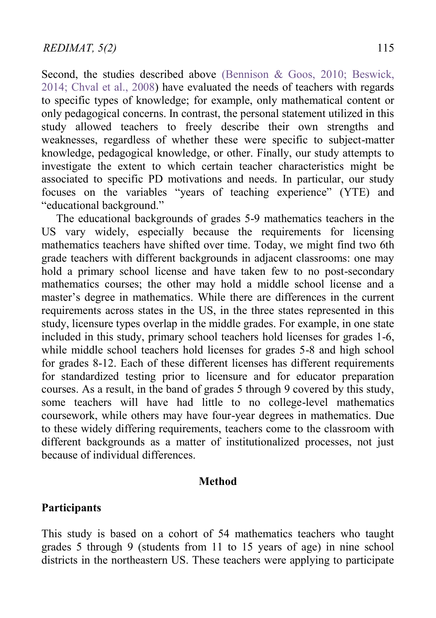Second, the studies described above [\(Bennison & Goos, 2010;](#page-23-4) Beswick, [2014;](#page-23-2) [Chval et al., 2008\)](#page-23-3) have evaluated the needs of teachers with regards to specific types of knowledge; for example, only mathematical content or only pedagogical concerns. In contrast, the personal statement utilized in this study allowed teachers to freely describe their own strengths and weaknesses, regardless of whether these were specific to subject-matter knowledge, pedagogical knowledge, or other. Finally, our study attempts to investigate the extent to which certain teacher characteristics might be associated to specific PD motivations and needs. In particular, our study focuses on the variables "years of teaching experience" (YTE) and "educational background."

The educational backgrounds of grades 5-9 mathematics teachers in the US vary widely, especially because the requirements for licensing mathematics teachers have shifted over time. Today, we might find two 6th grade teachers with different backgrounds in adjacent classrooms: one may hold a primary school license and have taken few to no post-secondary mathematics courses; the other may hold a middle school license and a master's degree in mathematics. While there are differences in the current requirements across states in the US, in the three states represented in this study, licensure types overlap in the middle grades. For example, in one state included in this study, primary school teachers hold licenses for grades 1-6, while middle school teachers hold licenses for grades 5-8 and high school for grades 8-12. Each of these different licenses has different requirements for standardized testing prior to licensure and for educator preparation courses. As a result, in the band of grades 5 through 9 covered by this study, some teachers will have had little to no college-level mathematics coursework, while others may have four-year degrees in mathematics. Due to these widely differing requirements, teachers come to the classroom with different backgrounds as a matter of institutionalized processes, not just because of individual differences.

#### **Method**

#### **Participants**

This study is based on a cohort of 54 mathematics teachers who taught grades 5 through 9 (students from 11 to 15 years of age) in nine school districts in the northeastern US. These teachers were applying to participate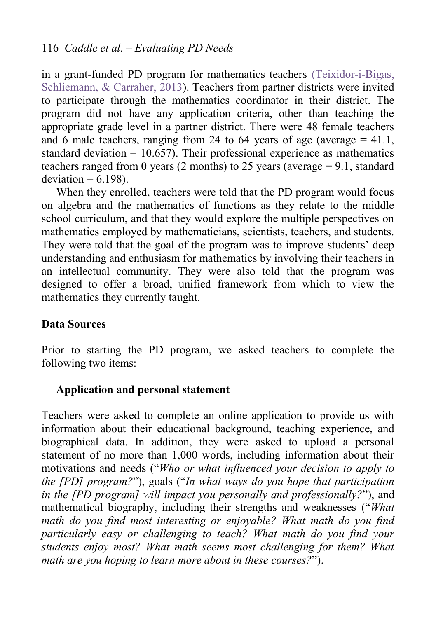in a grant-funded PD program for mathematics teachers [\(Teixidor-i-Bigas,](#page-25-3)  [Schliemann, & Carraher, 2013\)](#page-25-3). Teachers from partner districts were invited to participate through the mathematics coordinator in their district. The program did not have any application criteria, other than teaching the appropriate grade level in a partner district. There were 48 female teachers and 6 male teachers, ranging from 24 to 64 years of age (average  $= 41.1$ , standard deviation  $= 10.657$ ). Their professional experience as mathematics teachers ranged from 0 years (2 months) to 25 years (average  $= 9.1$ , standard  $deviation = 6.198$ .

When they enrolled, teachers were told that the PD program would focus on algebra and the mathematics of functions as they relate to the middle school curriculum, and that they would explore the multiple perspectives on mathematics employed by mathematicians, scientists, teachers, and students. They were told that the goal of the program was to improve students' deep understanding and enthusiasm for mathematics by involving their teachers in an intellectual community. They were also told that the program was designed to offer a broad, unified framework from which to view the mathematics they currently taught.

#### **Data Sources**

Prior to starting the PD program, we asked teachers to complete the following two items:

#### **Application and personal statement**

Teachers were asked to complete an online application to provide us with information about their educational background, teaching experience, and biographical data. In addition, they were asked to upload a personal statement of no more than 1,000 words, including information about their motivations and needs ("*Who or what influenced your decision to apply to the [PD] program?*"), goals ("*In what ways do you hope that participation in the [PD program] will impact you personally and professionally?*"), and mathematical biography, including their strengths and weaknesses ("*What math do you find most interesting or enjoyable? What math do you find particularly easy or challenging to teach? What math do you find your students enjoy most? What math seems most challenging for them? What math are you hoping to learn more about in these courses?*").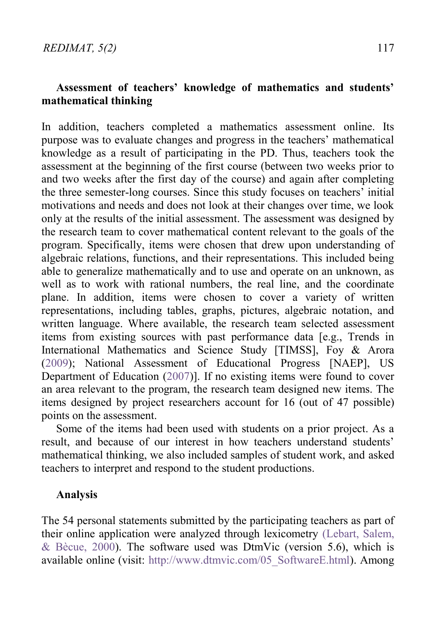### **Assessment of teachers' knowledge of mathematics and students' mathematical thinking**

In addition, teachers completed a mathematics assessment online. Its purpose was to evaluate changes and progress in the teachers' mathematical knowledge as a result of participating in the PD. Thus, teachers took the assessment at the beginning of the first course (between two weeks prior to and two weeks after the first day of the course) and again after completing the three semester-long courses. Since this study focuses on teachers' initial motivations and needs and does not look at their changes over time, we look only at the results of the initial assessment. The assessment was designed by the research team to cover mathematical content relevant to the goals of the program. Specifically, items were chosen that drew upon understanding of algebraic relations, functions, and their representations. This included being able to generalize mathematically and to use and operate on an unknown, as well as to work with rational numbers, the real line, and the coordinate plane. In addition, items were chosen to cover a variety of written representations, including tables, graphs, pictures, algebraic notation, and written language. Where available, the research team selected assessment items from existing sources with past performance data [e.g., Trends in International Mathematics and Science Study [TIMSS], Foy & Arora [\(2009\)](#page-24-5); National Assessment of Educational Progress [NAEP], US Department of Education [\(2007\)](#page-24-6)]. If no existing items were found to cover an area relevant to the program, the research team designed new items. The items designed by project researchers account for 16 (out of 47 possible) points on the assessment.

 Some of the items had been used with students on a prior project. As a result, and because of our interest in how teachers understand students' mathematical thinking, we also included samples of student work, and asked teachers to interpret and respond to the student productions.

#### **Analysis**

The 54 personal statements submitted by the participating teachers as part of their online application were analyzed through lexicometry [\(Lebart, Salem,](#page-24-7)  & Bècue,  $2000$ ). The software used was DtmVic (version 5.6), which is available online (visit: [http://www.dtmvic.com/05\\_SoftwareE.html\)](http://www.dtmvic.com/05_SoftwareE.html). Among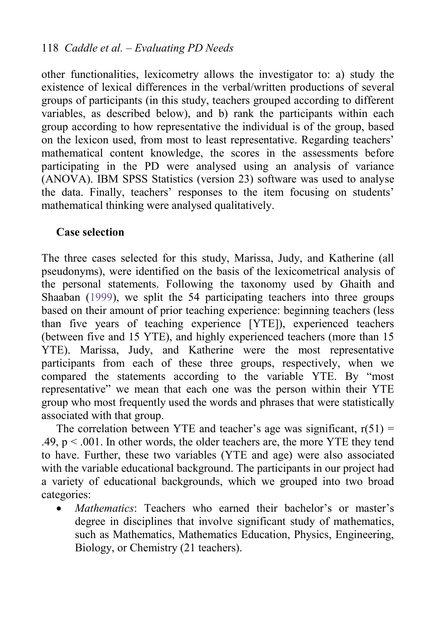other functionalities, lexicometry allows the investigator to: a) study the existence of lexical differences in the verbal/written productions of several groups of participants (in this study, teachers grouped according to different variables, as described below), and b) rank the participants within each group according to how representative the individual is of the group, based on the lexicon used, from most to least representative. Regarding teachers' mathematical content knowledge, the scores in the assessments before participating in the PD were analysed using an analysis of variance (ANOVA). IBM SPSS Statistics (version 23) software was used to analyse the data. Finally, teachers' responses to the item focusing on students' mathematical thinking were analysed qualitatively.

#### **Case selection**

The three cases selected for this study, Marissa, Judy, and Katherine (all pseudonyms), were identified on the basis of the lexicometrical analysis of the personal statements. Following the taxonomy used by Ghaith and Shaaban [\(1999\)](#page-24-8), we split the 54 participating teachers into three groups based on their amount of prior teaching experience: beginning teachers (less than five years of teaching experience [YTE]), experienced teachers (between five and 15 YTE), and highly experienced teachers (more than 15 YTE). Marissa, Judy, and Katherine were the most representative participants from each of these three groups, respectively, when we compared the statements according to the variable YTE. By "most representative" we mean that each one was the person within their YTE group who most frequently used the words and phrases that were statistically associated with that group.

The correlation between YTE and teacher's age was significant,  $r(51) =$ .49,  $p < .001$ . In other words, the older teachers are, the more YTE they tend to have. Further, these two variables (YTE and age) were also associated with the variable educational background. The participants in our project had a variety of educational backgrounds, which we grouped into two broad categories:

 *Mathematics*: Teachers who earned their bachelor's or master's degree in disciplines that involve significant study of mathematics, such as Mathematics, Mathematics Education, Physics, Engineering, Biology, or Chemistry (21 teachers).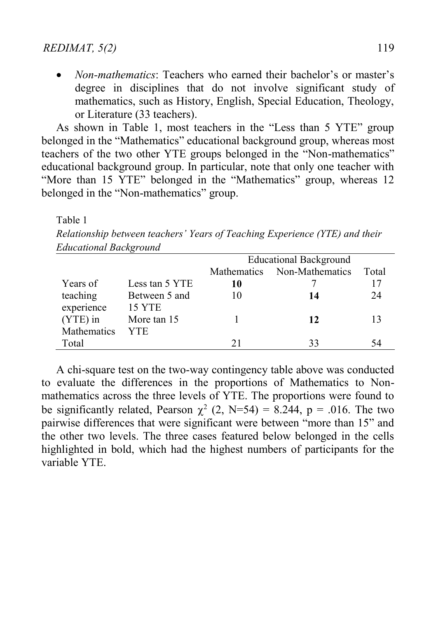*Non-mathematics*: Teachers who earned their bachelor's or master's degree in disciplines that do not involve significant study of mathematics, such as History, English, Special Education, Theology, or Literature (33 teachers).

As shown in Table 1, most teachers in the "Less than 5 YTE" group belonged in the "Mathematics" educational background group, whereas most teachers of the two other YTE groups belonged in the "Non-mathematics" educational background group. In particular, note that only one teacher with "More than 15 YTE" belonged in the "Mathematics" group, whereas 12 belonged in the "Non-mathematics" group.

#### Table 1

*Relationship between teachers' Years of Teaching Experience (YTE) and their Educational Background* 

|             | $\cdot$        |                               |                 |       |
|-------------|----------------|-------------------------------|-----------------|-------|
|             |                | <b>Educational Background</b> |                 |       |
|             |                | Mathematics                   | Non-Mathematics | Total |
| Years of    | Less tan 5 YTE | 10                            |                 |       |
| teaching    | Between 5 and  | 10                            | 14              | 24    |
| experience  | <b>15 YTE</b>  |                               |                 |       |
| (YTE) in    | More tan 15    |                               | 12              |       |
| Mathematics | <b>YTE</b>     |                               |                 |       |
| Total       |                | 21                            | 33              |       |

 A chi-square test on the two-way contingency table above was conducted to evaluate the differences in the proportions of Mathematics to Nonmathematics across the three levels of YTE. The proportions were found to be significantly related, Pearson  $\chi^2$  (2, N=54) = 8.244, p = .016. The two pairwise differences that were significant were between "more than 15" and the other two levels. The three cases featured below belonged in the cells highlighted in bold, which had the highest numbers of participants for the variable YTE.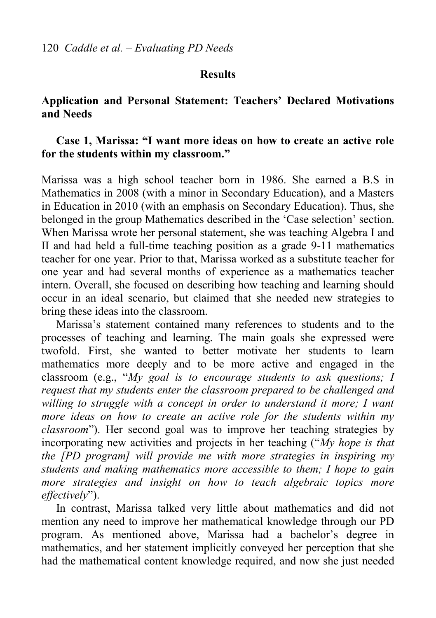#### **Results**

#### **Application and Personal Statement: Teachers' Declared Motivations and Needs**

#### **Case 1, Marissa: "I want more ideas on how to create an active role for the students within my classroom."**

Marissa was a high school teacher born in 1986. She earned a B.S in Mathematics in 2008 (with a minor in Secondary Education), and a Masters in Education in 2010 (with an emphasis on Secondary Education). Thus, she belonged in the group Mathematics described in the 'Case selection' section. When Marissa wrote her personal statement, she was teaching Algebra I and II and had held a full-time teaching position as a grade 9-11 mathematics teacher for one year. Prior to that, Marissa worked as a substitute teacher for one year and had several months of experience as a mathematics teacher intern. Overall, she focused on describing how teaching and learning should occur in an ideal scenario, but claimed that she needed new strategies to bring these ideas into the classroom.

 Marissa's statement contained many references to students and to the processes of teaching and learning. The main goals she expressed were twofold. First, she wanted to better motivate her students to learn mathematics more deeply and to be more active and engaged in the classroom (e.g., "*My goal is to encourage students to ask questions; I request that my students enter the classroom prepared to be challenged and willing to struggle with a concept in order to understand it more; I want more ideas on how to create an active role for the students within my classroom*"). Her second goal was to improve her teaching strategies by incorporating new activities and projects in her teaching ("*My hope is that the [PD program] will provide me with more strategies in inspiring my students and making mathematics more accessible to them; I hope to gain more strategies and insight on how to teach algebraic topics more effectively*").

 In contrast, Marissa talked very little about mathematics and did not mention any need to improve her mathematical knowledge through our PD program. As mentioned above, Marissa had a bachelor's degree in mathematics, and her statement implicitly conveyed her perception that she had the mathematical content knowledge required, and now she just needed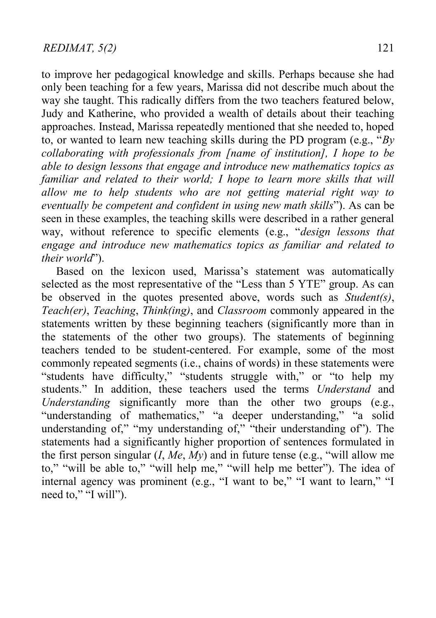to improve her pedagogical knowledge and skills. Perhaps because she had only been teaching for a few years, Marissa did not describe much about the way she taught. This radically differs from the two teachers featured below. Judy and Katherine, who provided a wealth of details about their teaching approaches. Instead, Marissa repeatedly mentioned that she needed to, hoped to, or wanted to learn new teaching skills during the PD program (e.g., "*By collaborating with professionals from [name of institution], I hope to be able to design lessons that engage and introduce new mathematics topics as familiar and related to their world; I hope to learn more skills that will allow me to help students who are not getting material right way to eventually be competent and confident in using new math skills*"). As can be seen in these examples, the teaching skills were described in a rather general way, without reference to specific elements (e.g., "*design lessons that engage and introduce new mathematics topics as familiar and related to their world*").

Based on the lexicon used, Marissa's statement was automatically selected as the most representative of the "Less than 5 YTE" group. As can be observed in the quotes presented above, words such as *Student(s)*, *Teach(er)*, *Teaching*, *Think(ing)*, and *Classroom* commonly appeared in the statements written by these beginning teachers (significantly more than in the statements of the other two groups). The statements of beginning teachers tended to be student-centered. For example, some of the most commonly repeated segments (i.e., chains of words) in these statements were "students have difficulty," "students struggle with," or "to help my students." In addition, these teachers used the terms *Understand* and *Understanding* significantly more than the other two groups (e.g., "understanding of mathematics," "a deeper understanding," "a solid understanding of," "my understanding of," "their understanding of"). The statements had a significantly higher proportion of sentences formulated in the first person singular  $(I, Me, My)$  and in future tense (e.g., "will allow me to," "will be able to," "will help me," "will help me better"). The idea of internal agency was prominent (e.g., "I want to be," "I want to learn," "I need to," "I will").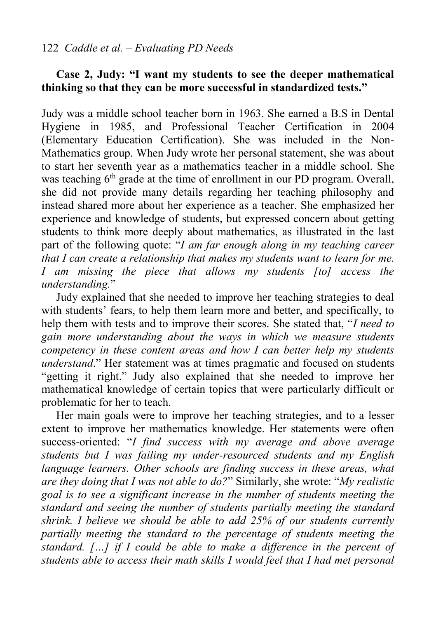#### **Case 2, Judy: "I want my students to see the deeper mathematical thinking so that they can be more successful in standardized tests."**

Judy was a middle school teacher born in 1963. She earned a B.S in Dental Hygiene in 1985, and Professional Teacher Certification in 2004 (Elementary Education Certification). She was included in the Non-Mathematics group. When Judy wrote her personal statement, she was about to start her seventh year as a mathematics teacher in a middle school. She was teaching  $6<sup>th</sup>$  grade at the time of enrollment in our PD program. Overall, she did not provide many details regarding her teaching philosophy and instead shared more about her experience as a teacher. She emphasized her experience and knowledge of students, but expressed concern about getting students to think more deeply about mathematics, as illustrated in the last part of the following quote: "*I am far enough along in my teaching career that I can create a relationship that makes my students want to learn for me. I am missing the piece that allows my students [to] access the understanding.*"

Judy explained that she needed to improve her teaching strategies to deal with students' fears, to help them learn more and better, and specifically, to help them with tests and to improve their scores. She stated that, "*I need to gain more understanding about the ways in which we measure students competency in these content areas and how I can better help my students understand*." Her statement was at times pragmatic and focused on students "getting it right." Judy also explained that she needed to improve her mathematical knowledge of certain topics that were particularly difficult or problematic for her to teach.

Her main goals were to improve her teaching strategies, and to a lesser extent to improve her mathematics knowledge. Her statements were often success-oriented: "*I find success with my average and above average students but I was failing my under-resourced students and my English language learners. Other schools are finding success in these areas, what are they doing that I was not able to do?*" Similarly, she wrote: "*My realistic goal is to see a significant increase in the number of students meeting the standard and seeing the number of students partially meeting the standard shrink. I believe we should be able to add 25% of our students currently partially meeting the standard to the percentage of students meeting the standard. […] if I could be able to make a difference in the percent of students able to access their math skills I would feel that I had met personal*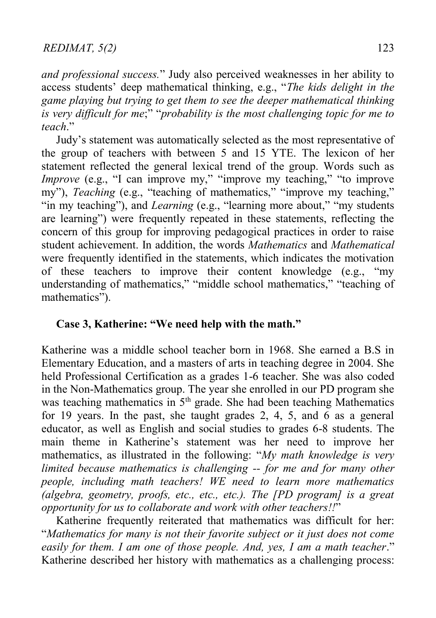*and professional success.*" Judy also perceived weaknesses in her ability to access students' deep mathematical thinking, e.g., "*The kids delight in the game playing but trying to get them to see the deeper mathematical thinking is very difficult for me*;" "*probability is the most challenging topic for me to teach*."

Judy's statement was automatically selected as the most representative of the group of teachers with between 5 and 15 YTE. The lexicon of her statement reflected the general lexical trend of the group. Words such as *Improve* (e.g., "I can improve my," "improve my teaching," "to improve my"), *Teaching* (e.g., "teaching of mathematics," "improve my teaching," "in my teaching"), and *Learning* (e.g., "learning more about," "my students are learning") were frequently repeated in these statements, reflecting the concern of this group for improving pedagogical practices in order to raise student achievement. In addition, the words *Mathematics* and *Mathematical* were frequently identified in the statements, which indicates the motivation of these teachers to improve their content knowledge (e.g., "my understanding of mathematics," "middle school mathematics," "teaching of mathematics").

#### **Case 3, Katherine: "We need help with the math."**

Katherine was a middle school teacher born in 1968. She earned a B.S in Elementary Education, and a masters of arts in teaching degree in 2004. She held Professional Certification as a grades 1-6 teacher. She was also coded in the Non-Mathematics group. The year she enrolled in our PD program she was teaching mathematics in  $5<sup>th</sup>$  grade. She had been teaching Mathematics for 19 years. In the past, she taught grades 2, 4, 5, and 6 as a general educator, as well as English and social studies to grades 6-8 students. The main theme in Katherine's statement was her need to improve her mathematics, as illustrated in the following: "*My math knowledge is very limited because mathematics is challenging -- for me and for many other people, including math teachers! WE need to learn more mathematics (algebra, geometry, proofs, etc., etc., etc.). The [PD program] is a great opportunity for us to collaborate and work with other teachers!!*"

Katherine frequently reiterated that mathematics was difficult for her: "*Mathematics for many is not their favorite subject or it just does not come easily for them. I am one of those people. And, yes, I am a math teacher*." Katherine described her history with mathematics as a challenging process: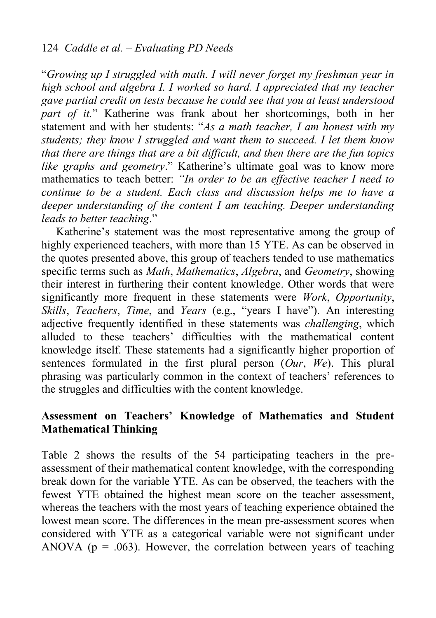"*Growing up I struggled with math. I will never forget my freshman year in high school and algebra I. I worked so hard. I appreciated that my teacher gave partial credit on tests because he could see that you at least understood part of it.*" Katherine was frank about her shortcomings, both in her statement and with her students: "*As a math teacher, I am honest with my students; they know I struggled and want them to succeed. I let them know that there are things that are a bit difficult, and then there are the fun topics like graphs and geometry*." Katherine's ultimate goal was to know more mathematics to teach better: *"In order to be an effective teacher I need to continue to be a student. Each class and discussion helps me to have a deeper understanding of the content I am teaching. Deeper understanding leads to better teaching*."

Katherine's statement was the most representative among the group of highly experienced teachers, with more than 15 YTE. As can be observed in the quotes presented above, this group of teachers tended to use mathematics specific terms such as *Math*, *Mathematics*, *Algebra*, and *Geometry*, showing their interest in furthering their content knowledge. Other words that were significantly more frequent in these statements were *Work*, *Opportunity*, *Skills*, *Teachers*, *Time*, and *Years* (e.g., "years I have"). An interesting adjective frequently identified in these statements was *challenging*, which alluded to these teachers' difficulties with the mathematical content knowledge itself. These statements had a significantly higher proportion of sentences formulated in the first plural person (*Our*, *We*). This plural phrasing was particularly common in the context of teachers' references to the struggles and difficulties with the content knowledge.

### **Assessment on Teachers' Knowledge of Mathematics and Student Mathematical Thinking**

Table 2 shows the results of the 54 participating teachers in the preassessment of their mathematical content knowledge, with the corresponding break down for the variable YTE. As can be observed, the teachers with the fewest YTE obtained the highest mean score on the teacher assessment, whereas the teachers with the most years of teaching experience obtained the lowest mean score. The differences in the mean pre-assessment scores when considered with YTE as a categorical variable were not significant under ANOVA ( $p = .063$ ). However, the correlation between years of teaching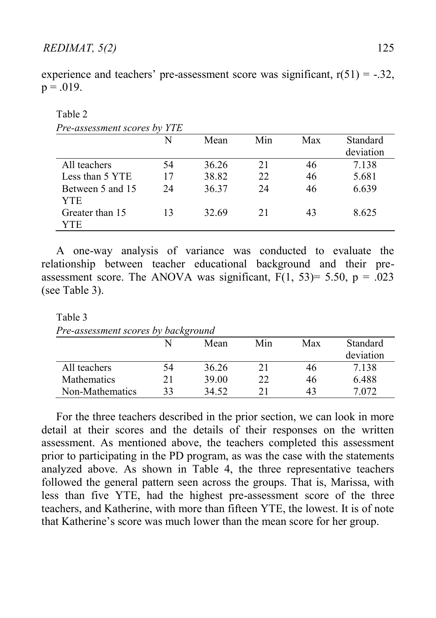| $p = .019$ . |  |  |  |
|--------------|--|--|--|
|              |  |  |  |
| Table 2      |  |  |  |

experience and teachers' pre-assessment score was significant,  $r(51) = -.32$ ,

| Pre-assessment scores by YTE |    |       |     |     |           |
|------------------------------|----|-------|-----|-----|-----------|
|                              | N  | Mean  | Min | Max | Standard  |
|                              |    |       |     |     | deviation |
| All teachers                 | 54 | 36.26 | 21  | 46  | 7.138     |
| Less than 5 YTE              | 17 | 38.82 | 22  | 46  | 5.681     |
| Between 5 and 15             | 24 | 36.37 | 24  | 46  | 6.639     |
| <b>YTE</b>                   |    |       |     |     |           |
| Greater than 15              | 13 | 32.69 | 21  | 43  | 8.625     |
| YTE                          |    |       |     |     |           |

 A one-way analysis of variance was conducted to evaluate the relationship between teacher educational background and their preassessment score. The ANOVA was significant,  $F(1, 53)= 5.50$ ,  $p = .023$ (see Table 3).

Table 3

*Pre-assessment scores by background*

|                    |    | Mean  | Min | Max | Standard<br>deviation |
|--------------------|----|-------|-----|-----|-----------------------|
| All teachers       | 54 | 36.26 |     | 46  | 7.138                 |
| <b>Mathematics</b> |    | 39.00 | 22  | 46  | 6.488                 |
| Non-Mathematics    | 33 | 34.52 | 21  | 43  | 7.072                 |

 For the three teachers described in the prior section, we can look in more detail at their scores and the details of their responses on the written assessment. As mentioned above, the teachers completed this assessment prior to participating in the PD program, as was the case with the statements analyzed above. As shown in Table 4, the three representative teachers followed the general pattern seen across the groups. That is, Marissa, with less than five YTE, had the highest pre-assessment score of the three teachers, and Katherine, with more than fifteen YTE, the lowest. It is of note that Katherine's score was much lower than the mean score for her group.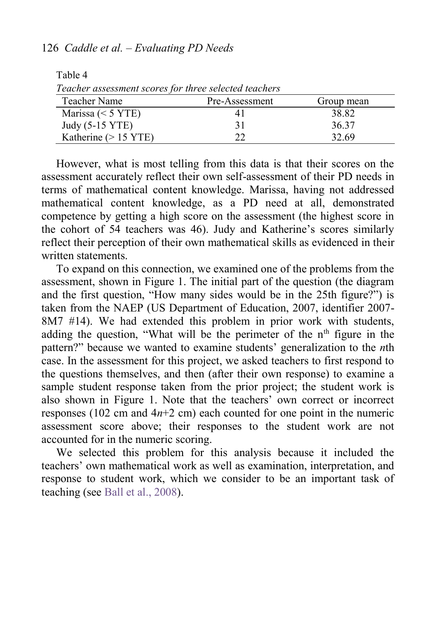#### 126 *Caddle et al. – Evaluating PD Needs*

Table 4

| Teacher assessment scores for three selected teachers |                |            |
|-------------------------------------------------------|----------------|------------|
| Teacher Name                                          | Pre-Assessment | Group mean |
| Marissa $(< 5 YTE)$                                   | 4 I            | 38.82      |
| Judy (5-15 YTE)                                       | 31             | 36.37      |
| Katherine $(> 15 \text{ YTE})$                        | າາ             | 32.69      |

However, what is most telling from this data is that their scores on the assessment accurately reflect their own self-assessment of their PD needs in terms of mathematical content knowledge. Marissa, having not addressed mathematical content knowledge, as a PD need at all, demonstrated competence by getting a high score on the assessment (the highest score in the cohort of 54 teachers was 46). Judy and Katherine's scores similarly reflect their perception of their own mathematical skills as evidenced in their written statements.

To expand on this connection, we examined one of the problems from the assessment, shown in Figure 1. The initial part of the question (the diagram and the first question, "How many sides would be in the 25th figure?") is taken from the NAEP (US Department of Education, 2007, identifier 2007- 8M7 #14). We had extended this problem in prior work with students, adding the question, "What will be the perimeter of the  $n<sup>th</sup>$  figure in the pattern?" because we wanted to examine students' generalization to the *n*th case. In the assessment for this project, we asked teachers to first respond to the questions themselves, and then (after their own response) to examine a sample student response taken from the prior project; the student work is also shown in Figure 1. Note that the teachers' own correct or incorrect responses (102 cm and  $4n+2$  cm) each counted for one point in the numeric assessment score above; their responses to the student work are not accounted for in the numeric scoring.

 We selected this problem for this analysis because it included the teachers' own mathematical work as well as examination, interpretation, and response to student work, which we consider to be an important task of teaching (see [Ball et al., 2008\)](#page-23-1).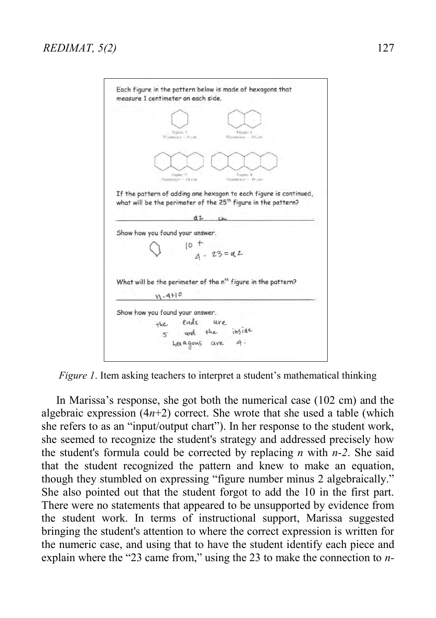|                                                                    | Timir 1<br>Financial                                                               |  |
|--------------------------------------------------------------------|------------------------------------------------------------------------------------|--|
|                                                                    | Permuter - feety<br>Personetex = 10 cm                                             |  |
|                                                                    |                                                                                    |  |
|                                                                    |                                                                                    |  |
|                                                                    | Hyste <sup>11</sup><br><b>Xingsatto</b> &<br>Nometer-Id.cm<br>Terramines - He can- |  |
|                                                                    | If the pattern of adding one hexagon to each figure is continued,                  |  |
|                                                                    | what will be the perimeter of the 25 <sup>th</sup> figure in the pattern?          |  |
|                                                                    |                                                                                    |  |
|                                                                    | d2                                                                                 |  |
|                                                                    |                                                                                    |  |
|                                                                    |                                                                                    |  |
|                                                                    |                                                                                    |  |
|                                                                    |                                                                                    |  |
|                                                                    | $10^{+}$<br>$4 \cdot 23 = 82$                                                      |  |
|                                                                    |                                                                                    |  |
|                                                                    | What will be the perimeter of the n <sup>th</sup> figure in the pattern?           |  |
| M.4H0                                                              |                                                                                    |  |
|                                                                    |                                                                                    |  |
|                                                                    |                                                                                    |  |
| Show how you found your answer.<br>Show how you found your answer. | the ends are<br>5 and the inside<br>hexagons are 4.                                |  |

*Figure 1*. Item asking teachers to interpret a student's mathematical thinking

 In Marissa's response, she got both the numerical case (102 cm) and the algebraic expression  $(4n+2)$  correct. She wrote that she used a table (which she refers to as an "input/output chart"). In her response to the student work, she seemed to recognize the student's strategy and addressed precisely how the student's formula could be corrected by replacing *n* with *n-2*. She said that the student recognized the pattern and knew to make an equation, though they stumbled on expressing "figure number minus 2 algebraically." She also pointed out that the student forgot to add the 10 in the first part. There were no statements that appeared to be unsupported by evidence from the student work. In terms of instructional support, Marissa suggested bringing the student's attention to where the correct expression is written for the numeric case, and using that to have the student identify each piece and explain where the "23 came from," using the 23 to make the connection to *n-*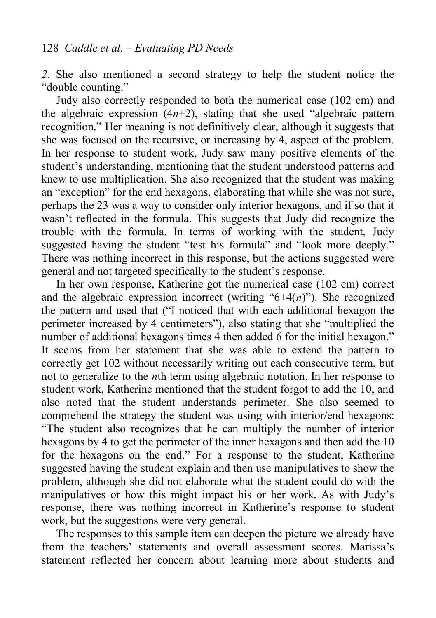*2*. She also mentioned a second strategy to help the student notice the "double counting."

Judy also correctly responded to both the numerical case (102 cm) and the algebraic expression  $(4n+2)$ , stating that she used "algebraic pattern" recognition." Her meaning is not definitively clear, although it suggests that she was focused on the recursive, or increasing by 4, aspect of the problem. In her response to student work, Judy saw many positive elements of the student's understanding, mentioning that the student understood patterns and knew to use multiplication. She also recognized that the student was making an "exception" for the end hexagons, elaborating that while she was not sure, perhaps the 23 was a way to consider only interior hexagons, and if so that it wasn't reflected in the formula. This suggests that Judy did recognize the trouble with the formula. In terms of working with the student, Judy suggested having the student "test his formula" and "look more deeply." There was nothing incorrect in this response, but the actions suggested were general and not targeted specifically to the student's response.

 In her own response, Katherine got the numerical case (102 cm) correct and the algebraic expression incorrect (writing " $6+4(n)$ "). She recognized the pattern and used that ("I noticed that with each additional hexagon the perimeter increased by 4 centimeters"), also stating that she "multiplied the number of additional hexagons times 4 then added 6 for the initial hexagon." It seems from her statement that she was able to extend the pattern to correctly get 102 without necessarily writing out each consecutive term, but not to generalize to the *n*th term using algebraic notation. In her response to student work, Katherine mentioned that the student forgot to add the 10, and also noted that the student understands perimeter. She also seemed to comprehend the strategy the student was using with interior/end hexagons: "The student also recognizes that he can multiply the number of interior hexagons by 4 to get the perimeter of the inner hexagons and then add the 10 for the hexagons on the end." For a response to the student, Katherine suggested having the student explain and then use manipulatives to show the problem, although she did not elaborate what the student could do with the manipulatives or how this might impact his or her work. As with Judy's response, there was nothing incorrect in Katherine's response to student work, but the suggestions were very general.

 The responses to this sample item can deepen the picture we already have from the teachers' statements and overall assessment scores. Marissa's statement reflected her concern about learning more about students and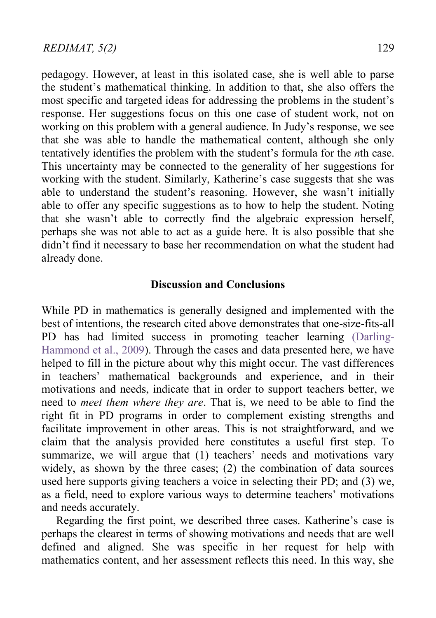pedagogy. However, at least in this isolated case, she is well able to parse the student's mathematical thinking. In addition to that, she also offers the most specific and targeted ideas for addressing the problems in the student's response. Her suggestions focus on this one case of student work, not on working on this problem with a general audience. In Judy's response, we see that she was able to handle the mathematical content, although she only tentatively identifies the problem with the student's formula for the *n*th case. This uncertainty may be connected to the generality of her suggestions for working with the student. Similarly, Katherine's case suggests that she was able to understand the student's reasoning. However, she wasn't initially able to offer any specific suggestions as to how to help the student. Noting that she wasn't able to correctly find the algebraic expression herself, perhaps she was not able to act as a guide here. It is also possible that she didn't find it necessary to base her recommendation on what the student had already done.

#### **Discussion and Conclusions**

While PD in mathematics is generally designed and implemented with the best of intentions, the research cited above demonstrates that one-size-fits-all PD has had limited success in promoting teacher learning [\(Darling-](#page-24-3)[Hammond et al., 2009\)](#page-24-3). Through the cases and data presented here, we have helped to fill in the picture about why this might occur. The vast differences in teachers' mathematical backgrounds and experience, and in their motivations and needs, indicate that in order to support teachers better, we need to *meet them where they are*. That is, we need to be able to find the right fit in PD programs in order to complement existing strengths and facilitate improvement in other areas. This is not straightforward, and we claim that the analysis provided here constitutes a useful first step. To summarize, we will argue that (1) teachers' needs and motivations vary widely, as shown by the three cases; (2) the combination of data sources used here supports giving teachers a voice in selecting their PD; and (3) we, as a field, need to explore various ways to determine teachers' motivations and needs accurately.

Regarding the first point, we described three cases. Katherine's case is perhaps the clearest in terms of showing motivations and needs that are well defined and aligned. She was specific in her request for help with mathematics content, and her assessment reflects this need. In this way, she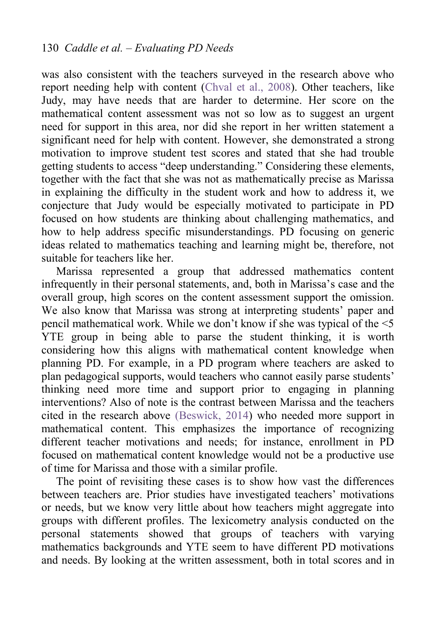was also consistent with the teachers surveyed in the research above who report needing help with content [\(Chval et al., 2008\)](#page-23-3). Other teachers, like Judy, may have needs that are harder to determine. Her score on the mathematical content assessment was not so low as to suggest an urgent need for support in this area, nor did she report in her written statement a significant need for help with content. However, she demonstrated a strong motivation to improve student test scores and stated that she had trouble getting students to access "deep understanding." Considering these elements, together with the fact that she was not as mathematically precise as Marissa in explaining the difficulty in the student work and how to address it, we conjecture that Judy would be especially motivated to participate in PD focused on how students are thinking about challenging mathematics, and how to help address specific misunderstandings. PD focusing on generic ideas related to mathematics teaching and learning might be, therefore, not suitable for teachers like her.

Marissa represented a group that addressed mathematics content infrequently in their personal statements, and, both in Marissa's case and the overall group, high scores on the content assessment support the omission. We also know that Marissa was strong at interpreting students' paper and pencil mathematical work. While we don't know if she was typical of the <5 YTE group in being able to parse the student thinking, it is worth considering how this aligns with mathematical content knowledge when planning PD. For example, in a PD program where teachers are asked to plan pedagogical supports, would teachers who cannot easily parse students' thinking need more time and support prior to engaging in planning interventions? Also of note is the contrast between Marissa and the teachers cited in the research above [\(Beswick, 2014\)](#page-23-2) who needed more support in mathematical content. This emphasizes the importance of recognizing different teacher motivations and needs; for instance, enrollment in PD focused on mathematical content knowledge would not be a productive use of time for Marissa and those with a similar profile.

The point of revisiting these cases is to show how vast the differences between teachers are. Prior studies have investigated teachers' motivations or needs, but we know very little about how teachers might aggregate into groups with different profiles. The lexicometry analysis conducted on the personal statements showed that groups of teachers with varying mathematics backgrounds and YTE seem to have different PD motivations and needs. By looking at the written assessment, both in total scores and in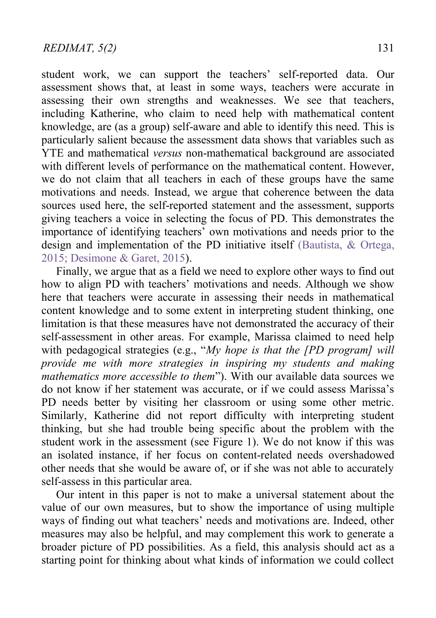student work, we can support the teachers' self-reported data. Our assessment shows that, at least in some ways, teachers were accurate in assessing their own strengths and weaknesses. We see that teachers, including Katherine, who claim to need help with mathematical content knowledge, are (as a group) self-aware and able to identify this need. This is particularly salient because the assessment data shows that variables such as YTE and mathematical *versus* non-mathematical background are associated with different levels of performance on the mathematical content. However, we do not claim that all teachers in each of these groups have the same motivations and needs. Instead, we argue that coherence between the data sources used here, the self-reported statement and the assessment, supports giving teachers a voice in selecting the focus of PD. This demonstrates the importance of identifying teachers' own motivations and needs prior to the design and implementation of the PD initiative itself (Bautista, & Ortega, 2015; [Desimone & Garet, 2015\)](#page-24-0).

Finally, we argue that as a field we need to explore other ways to find out how to align PD with teachers' motivations and needs. Although we show here that teachers were accurate in assessing their needs in mathematical content knowledge and to some extent in interpreting student thinking, one limitation is that these measures have not demonstrated the accuracy of their self-assessment in other areas. For example, Marissa claimed to need help with pedagogical strategies (e.g., "*My hope is that the [PD program] will provide me with more strategies in inspiring my students and making mathematics more accessible to them*"). With our available data sources we do not know if her statement was accurate, or if we could assess Marissa's PD needs better by visiting her classroom or using some other metric. Similarly, Katherine did not report difficulty with interpreting student thinking, but she had trouble being specific about the problem with the student work in the assessment (see Figure 1). We do not know if this was an isolated instance, if her focus on content-related needs overshadowed other needs that she would be aware of, or if she was not able to accurately self-assess in this particular area.

Our intent in this paper is not to make a universal statement about the value of our own measures, but to show the importance of using multiple ways of finding out what teachers' needs and motivations are. Indeed, other measures may also be helpful, and may complement this work to generate a broader picture of PD possibilities. As a field, this analysis should act as a starting point for thinking about what kinds of information we could collect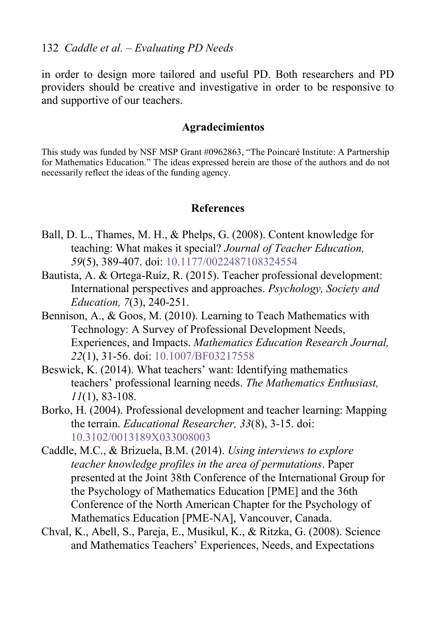in order to design more tailored and useful PD. Both researchers and PD providers should be creative and investigative in order to be responsive to and supportive of our teachers.

#### **Agradecimientos**

This study was funded by NSF MSP Grant #0962863, "The Poincaré Institute: A Partnership for Mathematics Education." The ideas expressed herein are those of the authors and do not necessarily reflect the ideas of the funding agency.

#### **References**

- <span id="page-23-1"></span>Ball, D. L., Thames, M. H., & Phelps, G. (2008). Content knowledge for teaching: What makes it special? *Journal of Teacher Education, 59*(5), 389-407. doi: [10.1177/0022487108324554](http://dx.doi.org/10.1177/0022487108324554)
- Bautista, A. & Ortega-Ruíz, R. (2015). Teacher professional development: International perspectives and approaches. *Psychology, Society and Education, 7*(3), 240-251.
- <span id="page-23-4"></span>Bennison, A., & Goos, M. (2010). Learning to Teach Mathematics with Technology: A Survey of Professional Development Needs, Experiences, and Impacts. *Mathematics Education Research Journal, 22*(1), 31-56. doi[: 10.1007/BF03217558](http://dx.doi.org/10.1007/BF03217558)
- <span id="page-23-2"></span>Beswick, K. (2014). What teachers' want: Identifying mathematics teachers' professional learning needs. *The Mathematics Enthusiast, 11*(1), 83-108.
- <span id="page-23-0"></span>Borko, H. (2004). Professional development and teacher learning: Mapping the terrain. *Educational Researcher, 33*(8), 3-15. doi: [10.3102/0013189X033008003](http://dx.doi.org/10.3102/0013189X033008003)
- Caddle, M.C., & Brizuela, B.M. (2014). *Using interviews to explore teacher knowledge profiles in the area of permutations*. Paper presented at the Joint 38th Conference of the International Group for the Psychology of Mathematics Education [PME] and the 36th Conference of the North American Chapter for the Psychology of Mathematics Education [PME-NA], Vancouver, Canada.
- <span id="page-23-3"></span>Chval, K., Abell, S., Pareja, E., Musikul, K., & Ritzka, G. (2008). Science and Mathematics Teachers' Experiences, Needs, and Expectations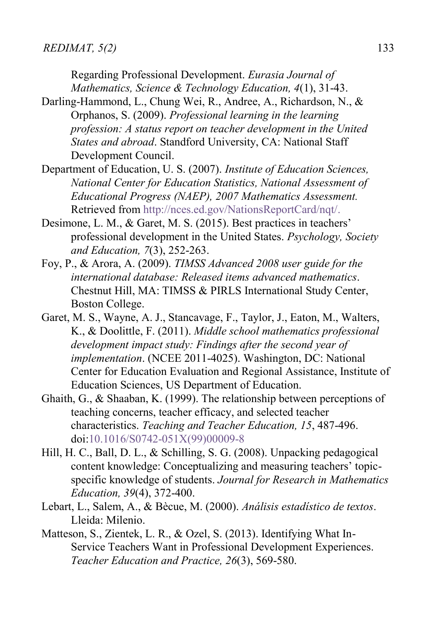Regarding Professional Development. *Eurasia Journal of Mathematics, Science & Technology Education, 4*(1), 31-43.

- <span id="page-24-3"></span>Darling-Hammond, L., Chung Wei, R., Andree, A., Richardson, N., & Orphanos, S. (2009). *Professional learning in the learning profession: A status report on teacher development in the United States and abroad*. Standford University, CA: National Staff Development Council.
- <span id="page-24-6"></span>Department of Education, U. S. (2007). *Institute of Education Sciences, National Center for Education Statistics, National Assessment of Educational Progress (NAEP), 2007 Mathematics Assessment.* Retrieved from [http://nces.ed.gov/NationsReportCard/nqt/.](http://nces.ed.gov/NationsReportCard/nqt/)
- <span id="page-24-0"></span>Desimone, L. M., & Garet, M. S. (2015). Best practices in teachers' professional development in the United States. *Psychology, Society and Education, 7*(3), 252-263.
- <span id="page-24-5"></span>Foy, P., & Arora, A. (2009). *TIMSS Advanced 2008 user guide for the international database: Released items advanced mathematics*. Chestnut Hill, MA: TIMSS & PIRLS International Study Center, Boston College.
- <span id="page-24-1"></span>Garet, M. S., Wayne, A. J., Stancavage, F., Taylor, J., Eaton, M., Walters, K., & Doolittle, F. (2011). *Middle school mathematics professional development impact study: Findings after the second year of implementation*. (NCEE 2011-4025). Washington, DC: National Center for Education Evaluation and Regional Assistance, Institute of Education Sciences, US Department of Education.
- <span id="page-24-8"></span>Ghaith, G., & Shaaban, K. (1999). The relationship between perceptions of teaching concerns, teacher efficacy, and selected teacher characteristics. *Teaching and Teacher Education, 15*, 487-496. doi[:10.1016/S0742-051X\(99\)00009-8](http://dx.doi.org/10.1016/S0742-051X(99)00009-8)
- <span id="page-24-2"></span>Hill, H. C., Ball, D. L., & Schilling, S. G. (2008). Unpacking pedagogical content knowledge: Conceptualizing and measuring teachers' topicspecific knowledge of students. *Journal for Research in Mathematics Education, 39*(4), 372-400.
- <span id="page-24-7"></span>Lebart, L., Salem, A., & Bècue, M. (2000). *Análisis estadístico de textos*. Lleida: Milenio.
- <span id="page-24-4"></span>Matteson, S., Zientek, L. R., & Ozel, S. (2013). Identifying What In-Service Teachers Want in Professional Development Experiences. *Teacher Education and Practice, 26*(3), 569-580.